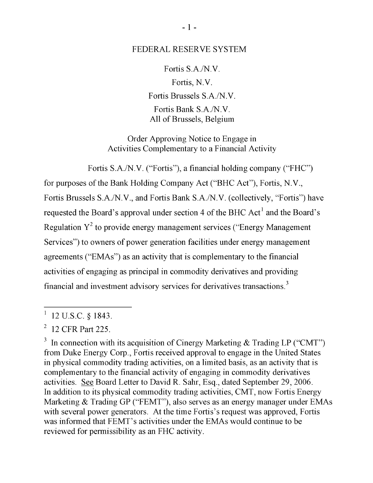## FEDERAL RESERVE SYSTEM

Fortis S.A./N.V. Fortis, N.V. Fortis Brussels S.A./N.V. Fortis Bank S.A./N.V. All of Brussels, Belgium

Order Approving Notice to Engage in Activities Complementary to a Financial Activity

Fortis S.A./N.V. ("Fortis"), a financial holding company ("FHC")

for purposes of the Bank Holding Company Act ("BHC Act"), Fortis, N.V., Fortis Brussels S.A./N.V., and Fortis Bank S.A./N.V. (collectively, "Fortis") have  $\epsilon$  Board's approval under section 4 of the BHC Act<sup>1</sup> and the Board's  $\sigma^2$  to provide energy management services ("Energy Management  $\begin{bmatrix} 1 & 2 & 0 \\ 0 & 0 & 0 \end{bmatrix}$  to provide energy management  $\begin{bmatrix} 2 & 0 \\ 0 & 0 \end{bmatrix}$ Services") to owners of power generation facilities under energy management agreements ("EMAs") as an activity that is complementary to the financial activities of engaging as principal in commodity derivatives and providing financial and investment advisory services for derivatives transactions.<sup>3</sup>

Cinergy Marketing & Trading

<sup>3</sup> In connection with its acquisition of Cinergy Marketing  $\&$  Trading LP ("CMT) from Duke Energy Corp., Fortis received approval to engage in the United States in physical commodity trading activities, on a limited basis, as an activity that is complementary to the financial activity of engaging in commodity derivatives activities. See Board Letter to David R. Sahr, Esq., dated September 29, 2006. In addition to its physical commodity trading activities, CMT, now Fortis Energy Marketing  $&$  Trading GP ("FEMT"), also serves as an energy manager under EMAs with several power generators. At the time Fortis's request was approved, Fortis was informed that FEMT's activities under the EMAs would continue to be reviewed for permissibility as an FHC activity.

 $12$  U.S.C. § 1843.

 $12$  CFR part 225.  $\frac{1}{2}$  CPN Fall  $\frac{2}{3}$ .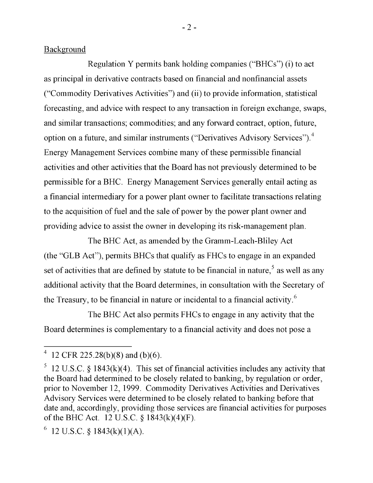Background

Regulation Y permits bank holding companies ("BHCs") (i) to act as principal in derivative contracts based on financial and nonfinancial assets ("Commodity Derivatives Activities") and (ii) to provide information, statistical forecasting, and advice with respect to any transaction in foreign exchange, and similar transactions; commodities; and any forward contract, option, future, option on a future, and similar instruments ("Derivatives Advisory Services").<sup>4</sup>  $\sim$ agement Services combine many of these permissible mancial activities and other activities that the Board has not previously determined to be permissible for a BHC. Energy Management Services generally entail acting as a financial intermediary for a power plant owner to facilitate transactions relating to the acquisition of fuel and the sale of power by the power plant owner and providing advice to assist the owner in developing its risk-management plan.

 $\text{Th}_s \text{ DHC}$  A at ag amagement The BHC Act, as amended by the Gramm-Leach-Bliley Act (the "GLB Act"), permits BHCs that qualify as FHCs to engage in an expanded set of activities that are defined by statute to be financial in nature,<sup>5</sup> as well as any additional activity that the Board determines, in consultation with the Secretary of the Treasury, to be financial in nature or incidental to a financial activity.<sup>6</sup>

 $\overline{\text{TL}}$  and  $\overline{\text{DL}}$  and  $\overline{\text{DL}}$  and  $\overline{\text{DL}}$  and  $\overline{\text{DL}}$ the Bric Act also permits rifics to engage in any activity that Board determines is complementary to a financial activity and does not pose a Derivatives Activities and Derivatives Advisory Services were

determined to be closely related to banking before that date and,  $5.28(b)(8)$  and  $(b)(6)$ .

<sup>&</sup>lt;sup>5</sup> 12 U.S.C. § 1843(k)(4). This set of financial activities includes any activity that the Board had determined to be closely related to banking, by regulation or order, prior to November 12, 1999. Commodity Derivatives Activities and Derivatives  $\frac{1}{2}$  and  $\frac{1}{2}$   $\frac{1}{2}$ . Commodity Derivatives Activities and De date and, accordingly, providing those services are financial activities for purposes of the BHC Act. 12 U.S.C.  $\S$  1843(k)(4)(F).

 $6$  12 U.S.C.  $$1843(k)(1)(A)$ .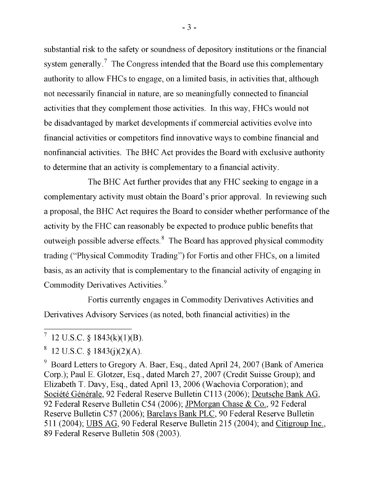substantial risk to the safety or soundness of depository institutions or the financial system generally. $\prime$  The Congress intended that the Board use this complementar authority to allow  $FHCs$  to engage, on a limited hasis, in activity authority to allow FHCs to engage, on a limited basis, in activities that, although not necessarily financial in nature, are so meaningfully connected to financial activities that they complement those activities. In this way, FHCs would not be disadvantaged by market developments if commercial activities evolve into financial activities or competitors find innovative ways to combine financial and nonfinancial activities. The BHC Act provides the Board with exclusive authority to determine that an activity is complementary to a financial activity.

The BHC Act further provides that any FHC seeking to engage in a complementary activity must obtain the Board's prior approval. In reviewing such a proposal, the BHC Act requires the Board to consider whether performance of the activity by the FHC can reasonably be expected to produce public benefits that ssible adverse effects. Ine Board has approved physical commodity trading ("Physical Commodity Trading") for Fortis and other FHCs, on a limited  $t_{\text{rel}}$  commodity Trading") for Fortis and other FHCs, on a limited ctivity that is complementary to the financial activity of engaging in Commodity Derivatives Activities.<sup>9</sup>

 $E(x) = 4$ ,  $E(x) = 1$ ,  $E(x) = 4$ ,  $E(x) = 4$ Forus currently engages in Commodity Derivatives. Derivatives Advisory Services (as noted, both financial activities) in the Elizabeth T. Davy, Esq., dated April 13, 2006

 $-3-$ 

 $\overline{\mathcal{C}(10424)}$  $S$  1045(K)(1)(D).

 $8$  12 U.S.C. § 1843(j)(2)(A).

Board Letters to Gregory A. Baer, Esq., dated April 24, 2007 (Bank of America 9 Corp.); Paul E. Glotzer, Esq., dated March 27, 2007 (Credit Suisse Group); and Elizabeth T. Davy, Esq., dated April 13, 2006 (Wachovia Corporation); and Société Générale, 92 Federal Reserve Bulletin C113 (2006); Deutsche Bank AG, 92 Federal Reserve Bulletin C54 (2006); JPMorgan Chase & Co., 92 Federal  $52$  Federal Neselve Bulletin C54 (2000), <u>JF Worgan Chase & Co.</u>, Reserve Bunetin C<sub>27</sub> (2000), <u>Barcial's Bailt FLC</u>, 90 Federal Reserve B<br> $544(2004)$ , LEDS A.G. 00 F. 1, 1 B. L. B. 11, C. 245 (2004), L. 1 GU 89 Federal Reserve Bulletin 508 (2003).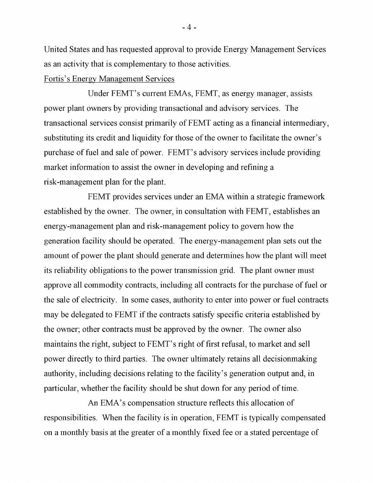United States and has requested approval to provide Energy Management Services as an activity that is complementary to those activities.

## Fortis's Energy Management Services

Under FEMT's current EMAs, FEMT, as energy manager, assists power plant owners by providing transactional and advisory services. The transactional services consist primarily of FEMT acting as a financial intermediary, substituting its credit and liquidity for those of the owner to facilitate the owner's purchase of fuel and sale of power. FEMT's advisory services include providing market information to assist the owner in developing and refining a risk-management plan for the plant.

FEMT provides services under an EMA within a strategic framework established by the owner. The owner, in consultation with FEMT, establishes an energy-management plan and risk-management policy to govern how the generation facility should be operated. The energy-management plan sets out the amount of power the plant should generate and determines how the plant will meet its reliability obligations to the power transmission grid. The plant owner must approve all commodity contracts, including all contracts for the purchase of fuel or the sale of electricity. In some cases, authority to enter into power or fuel contracts may be delegated to FEMT if the contracts satisfy specific criteria established by the owner; other contracts must be approved by the owner. The owner also maintains the right, subject to FEMT's right of first refusal, to market and sell power directly to third parties. The owner ultimately retains all decisionmaking authority, including decisions relating to the facility's generation output and, in particular, whether the facility should be shut down for any period of time.

An EMA's compensation structure reflects this allocation of responsibilities. When the facility is in operation, FEMT is typically compensated on a monthly basis at the greater of a monthly fixed fee or a stated percentage of

 $-4-$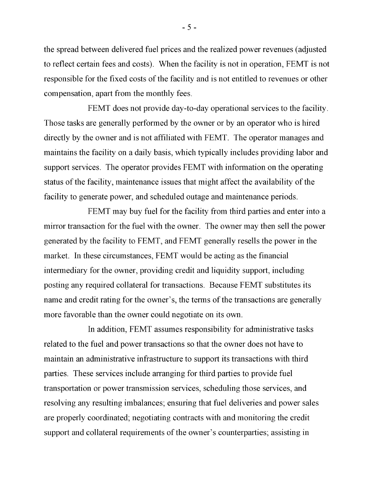the spread between delivered fuel prices and the realized power revenues (adjusted to reflect certain fees and costs). When the facility is not in operation, FEMT is not responsible for the fixed costs of the facility and is not entitled to revenues or other compensation, apart from the monthly fees.

FEMT does not provide day-to-day operational services to the facility. Those tasks are generally performed by the owner or by an operator who is hired directly by the owner and is not affiliated with FEMT. The operator manages and maintains the facility on a daily basis, which typically includes providing labor and support services. The operator provides FEMT with information on the operating status of the facility, maintenance issues that might affect the availability of the facility to generate power, and scheduled outage and maintenance periods.

FEMT may buy fuel for the facility from third parties and enter into a mirror transaction for the fuel with the owner. The owner may then sell the power generated by the facility to FEMT, and FEMT generally resells the power in the market. In these circumstances, FEMT would be acting as the financial intermediary for the owner, providing credit and liquidity support, including posting any required collateral for transactions. Because FEMT substitutes its name and credit rating for the owner's, the terms of the transactions are generally more favorable than the owner could negotiate on its own.

In addition, FEMT assumes responsibility for administrative tasks related to the fuel and power transactions so that the owner does not have to maintain an administrative infrastructure to support its transactions with third parties. These services include arranging for third parties to provide fuel transportation or power transmission services, scheduling those services, and resolving any resulting imbalances; ensuring that fuel deliveries and power sales are properly coordinated; negotiating contracts with and monitoring the credit support and collateral requirements of the owner's counterparties; assisting in

 $-5-$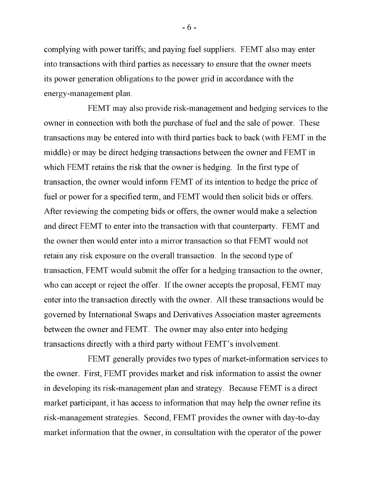complying with power tariffs; and paying fuel suppliers. FEMT also may enter into transactions with third parties as necessary to ensure that the owner meets its power generation obligations to the power grid in accordance with the energy-management plan.

FEMT may also provide risk-management and hedging services to the owner in connection with both the purchase of fuel and the sale of power. These transactions may be entered into with third parties back to back (with FEMT in the middle) or may be direct hedging transactions between the owner and FEMT in which FEMT retains the risk that the owner is hedging. In the first type of transaction, the owner would inform FEMT of its intention to hedge the price of fuel or power for a specified term, and FEMT would then solicit bids or offers. After reviewing the competing bids or offers, the owner would make a selection and direct FEMT to enter into the transaction with that counterparty. FEMT and the owner then would enter into a mirror transaction so that FEMT would not retain any risk exposure on the overall transaction. In the second type of transaction, FEMT would submit the offer for a hedging transaction to the owner, who can accept or reject the offer. If the owner accepts the proposal, FEMT may enter into the transaction directly with the owner. All these transactions would be governed by International Swaps and Derivatives Association master agreements between the owner and FEMT. The owner may also enter into hedging transactions directly with a third party without FEMT's involvement.

FEMT generally provides two types of market-information services to the owner. First, FEMT provides market and risk information to assist the owner in developing its risk-management plan and strategy. Because FEMT is a direct market participant, it has access to information that may help the owner refine its risk-management strategies. Second, FEMT provides the owner with day-to-day market information that the owner, in consultation with the operator of the power

 $-6-$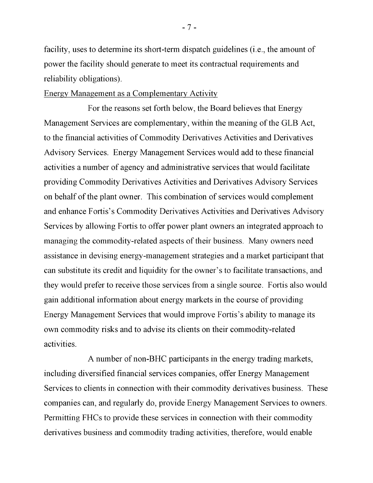facility, uses to determine its short-term dispatch guidelines (i.e., the amount of power the facility should generate to meet its contractual requirements and reliability obligations).

## Energy Management as a Complementary Activity

For the reasons set forth below, the Board believes that Energy Management Services are complementary, within the meaning of the GLB Act, to the financial activities of Commodity Derivatives Activities and Derivatives Advisory Services. Energy Management Services would add to these financial activities a number of agency and administrative services that would facilitate providing Commodity Derivatives Activities and Derivatives Advisory Services on behalf of the plant owner. This combination of services would complement and enhance Fortis's Commodity Derivatives Activities and Derivatives Advisory Services by allowing Fortis to offer power plant owners an integrated approach to managing the commodity-related aspects of their business. Many owners need assistance in devising energy-management strategies and a market participant that can substitute its credit and liquidity for the owner's to facilitate transactions, and they would prefer to receive those services from a single source. Fortis also would gain additional information about energy markets in the course of providing Energy Management Services that would improve Fortis's ability to manage its own commodity risks and to advise its clients on their commodity-related activities.

A number of non-BHC participants in the energy trading markets, including diversified financial services companies, offer Energy Management Services to clients in connection with their commodity derivatives business. These companies can, and regularly do, provide Energy Management Services to owners. Permitting FHCs to provide these services in connection with their commodity derivatives business and commodity trading activities, therefore, would enable

 $-7-$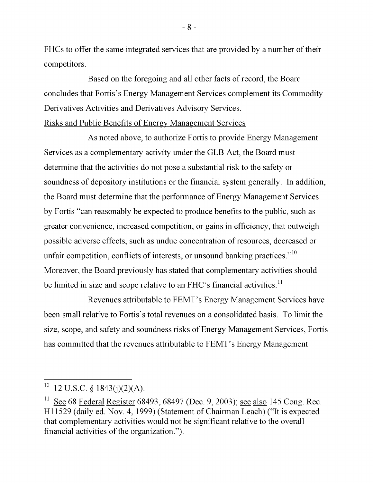FHCs to offer the same integrated services that are provided by a number of their competitors.

Based on the foregoing and all other facts of record, the Board concludes that Fortis's Energy Management Services complement its Commodity Derivatives Activities and Derivatives Advisory Services. Risks and Public Benefits of Energy Management Services

As noted above, to authorize Fortis to provide Energy Management Services as a complementary activity under the GLB Act, the Board must determine that the activities do not pose a substantial risk to the safety or soundness of depository institutions or the financial system generally. In addition, the Board must determine that the performance of Energy Management Services by Fortis "can reasonably be expected to produce benefits to the public, such as greater convenience, increased competition, or gains in efficiency, that outweigh possible adverse effects, such as undue concentration of resources, decreased or unfair competition, conflicts of interests, or unsound banking practices."<sup>10</sup> Moreover, the Board previously has stated that complementary activities should be limited in size and scope relative to an FHC's financial activities.<sup>11</sup>

Revenues attributable to FEMT's Energy Management Services have  $11.$  See 68493, 68493, 68493, 68493, 68497 (Dec. 9, 2003); see also  $\frac{1}{2}$ been small relative to Fortis's total revenues on a consolidated basis. To limit the nd safety and soundness risks of Energy Management Services which server and soundhost risks of Energy management services, i ordinational has committed that the revenues attributable to FEMT's Energy Management

<sup>&</sup>lt;sup>10</sup> 12 U.S.C. § 1843(j)(2)(A).

 $11$  See 68 Federal Register 68493, 68497 (Dec. 9, 2003); see also 145 Cong. Rec. H11529 (daily ed. Nov. 4, 1999) (Statement of Chairman Leach) ("It is expected that complementary activities would not be significant relative to the overall financial activities of the organization.").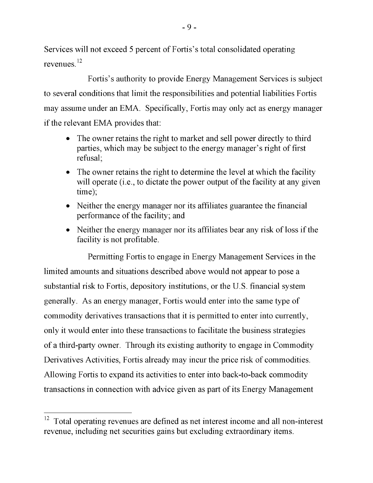Services will not exceed 5 percent of Fortis's total consolidated operating revenues.<sup>12</sup>

and all non-interest revenue, including net securities gains but excluding extra Fortis's a  $\frac{1}{10}$  and that limit the responsibilities and potential liabilities Fortis to several conditions that limit the responsibilities and potential liabilities Fortis may assume under an EMA. Specifically, Fortis may only act as energy manager if the relevant EMA provides that:

- The owner retains the right to market and sell power directly to third parties, which may be subject to the energy manager's right of first refusal;
- The owner retains the right to determine the level at which the facility will operate (i.e., to dictate the power output of the facility at any given time);
- Neither the energy manager nor its affiliates guarantee the financial performance of the facility; and
- Neither the energy manager nor its affiliates bear any risk of loss if the facility is not profitable.

Permitting Fortis to engage in Energy Management Services in the limited amounts and situations described above would not appear to pose a substantial risk to Fortis, depository institutions, or the U.S. financial system generally. As an energy manager, Fortis would enter into the same type of commodity derivatives transactions that it is permitted to enter into currently, only it would enter into these transactions to facilitate the business strategies of a third-party owner. Through its existing authority to engage in Commodity Derivatives Activities, Fortis already may incur the price risk of commodities. Allowing Fortis to expand its activities to enter into back-to-back commodity transactions in connection with advice given as part of its Energy Management

<sup>&</sup>lt;sup>12</sup> Total operating revenues are defined as net interest income and all non-interest revenue, including net securities gains but excluding extraordinary items.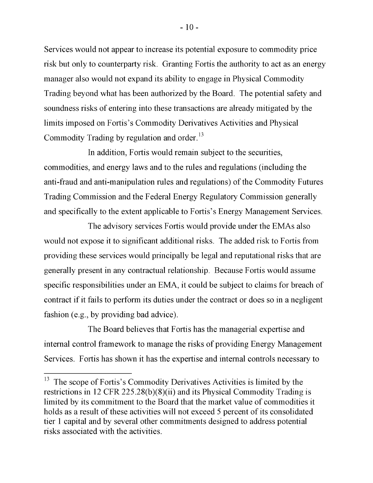Services would not appear to increase its potential exposure to commodity price risk but only to counterparty risk. Granting Fortis the authority to act as an energy manager also would not expand its ability to engage in Physical Commodity Trading beyond what has been authorized by the Board. The potential safety and soundness risks of entering into these transactions are already mitigated by the limits imposed on Fortis's Commodity Derivatives Activities and Physical Commodity Trading by regulation and order.<sup>13</sup>

 $\mathbf{F}_{\mathbf{u}}$  is did to the  $\mathbf{F}_{\mathbf{u}}$  the restrictions of the restrictions in  $\mathbf{u}$  and the restrictions in  $\mathbf{u}$ In addition, Forth would remain subject to the securities, commodities, and energy laws and to the rules and regulations (including the holds as a result of these activities will not exceed  $\sim$  percent of its consolidated  $\sim$ and-fraud and and-manipulation rules and regulations) of the Commodity Fut Trading Commission and the Federal Energy Regulatory Commission generally  $\frac{1}{2}$  and  $\frac{1}{2}$  and  $\frac{1}{2}$  and  $\frac{1}{2}$  and  $\frac{1}{2}$  subject to the securities,  $\frac{1}{2}$  and  $\frac{1}{2}$  and  $\frac{1}{2}$  and  $\frac{1}{2}$  and  $\frac{1}{2}$  and  $\frac{1}{2}$  and  $\frac{1}{2}$  and  $\frac{1}{2}$  and  $\frac{1}{2}$  and  $\$ lly to the extent applicable to Fortis's Energy Management Services.

The advisory services Fortis would provide under the EMAs also The distribution and the Federal Energy Regulation and the Federal Energy Regulatory Commission generally commission generally commission generally commission generally commission generally commission generally commission would not expose it to significant additional risks. The added risk to Fortis from of a carries would principally be legal and reputational risks that would not expose it to significant and reputational risks that are generally present in any contractual relationship. Because Fortis would assume engibilities under an  $EMA$  it equiled be subject to claims for broach of  $\sigma$  specified and  $\sigma$  and  $\sigma$  and  $\sigma$  and  $\sigma$  subject to claims for breach of contract if it fails to perform its duties under the contract or does so in a negligent fashion (e.g., by providing bad advice).

The Board believes that Fortis has the managerial expertise and internal control framework to manage the risks of providing Energy Management Services. Fortis has shown it has the expertise and internal controls necessary to

<sup>&</sup>lt;sup>13</sup> The scope of Fortis's Commodity Derivatives Activities is limited by the restrictions in 12 CFR 225.28(b)(8)(ii) and its Physical Commodity Trading is limited by its commitment to the Board that the market value of commodities it holds as a result of these activities will not exceed 5 percent of its consolidated tier 1 capital and by several other commitments designed to address potential risks associated with the activities.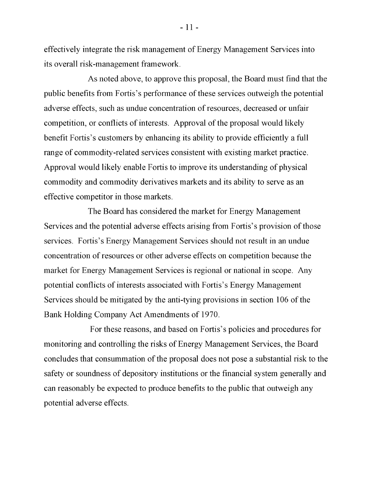effectively integrate the risk management of Energy Management Services into its overall risk-management framework.

As noted above, to approve this proposal, the Board must find that the public benefits from Fortis's performance of these services outweigh the potential adverse effects, such as undue concentration of resources, decreased or unfair competition, or conflicts of interests. Approval of the proposal would likely benefit Fortis's customers by enhancing its ability to provide efficiently a full range of commodity-related services consistent with existing market practice. Approval would likely enable Fortis to improve its understanding of physical commodity and commodity derivatives markets and its ability to serve as an effective competitor in those markets.

The Board has considered the market for Energy Management Services and the potential adverse effects arising from Fortis's provision of those services. Fortis's Energy Management Services should not result in an undue concentration of resources or other adverse effects on competition because the market for Energy Management Services is regional or national in scope. Any potential conflicts of interests associated with Fortis's Energy Management Services should be mitigated by the anti-tying provisions in section 106 of the Bank Holding Company Act Amendments of 1970.

For these reasons, and based on Fortis's policies and procedures for monitoring and controlling the risks of Energy Management Services, the Board concludes that consummation of the proposal does not pose a substantial risk to the safety or soundness of depository institutions or the financial system generally and can reasonably be expected to produce benefits to the public that outweigh any potential adverse effects.

 $-11-$